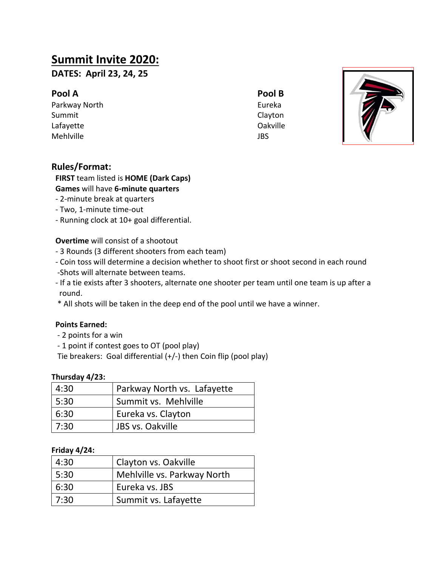## **Summit Invite 2020:**

**DATES: April 23, 24, 25**

## **Pool A Pool B**

Parkway North **Eureka** Summit Clayton



# Lafayette **Oakville** Mehlville JBS

## **Rules/Format:**

## **FIRST** team listed is **HOME (Dark Caps)**

## **Games** will have **6-minute quarters**

- 2-minute break at quarters
- Two, 1-minute time-out
- Running clock at 10+ goal differential.

#### **Overtime** will consist of a shootout

- 3 Rounds (3 different shooters from each team)
- Coin toss will determine a decision whether to shoot first or shoot second in each round -Shots will alternate between teams.
- If a tie exists after 3 shooters, alternate one shooter per team until one team is up after a round.
- \* All shots will be taken in the deep end of the pool until we have a winner.

#### **Points Earned:**

- 2 points for a win
- 1 point if contest goes to OT (pool play)

Tie breakers: Goal differential (+/-) then Coin flip (pool play)

#### **Thursday 4/23:**

| 4:30 | Parkway North vs. Lafayette |
|------|-----------------------------|
| 5:30 | Summit vs. Mehlville        |
| 6:30 | Eureka vs. Clayton          |
| 7:30 | I JBS vs. Oakville          |

#### **Friday 4/24:**

| 4:30 | Clayton vs. Oakville        |
|------|-----------------------------|
| 5:30 | Mehlville vs. Parkway North |
| 6:30 | Eureka vs. JBS              |
| 7:30 | Summit vs. Lafayette        |